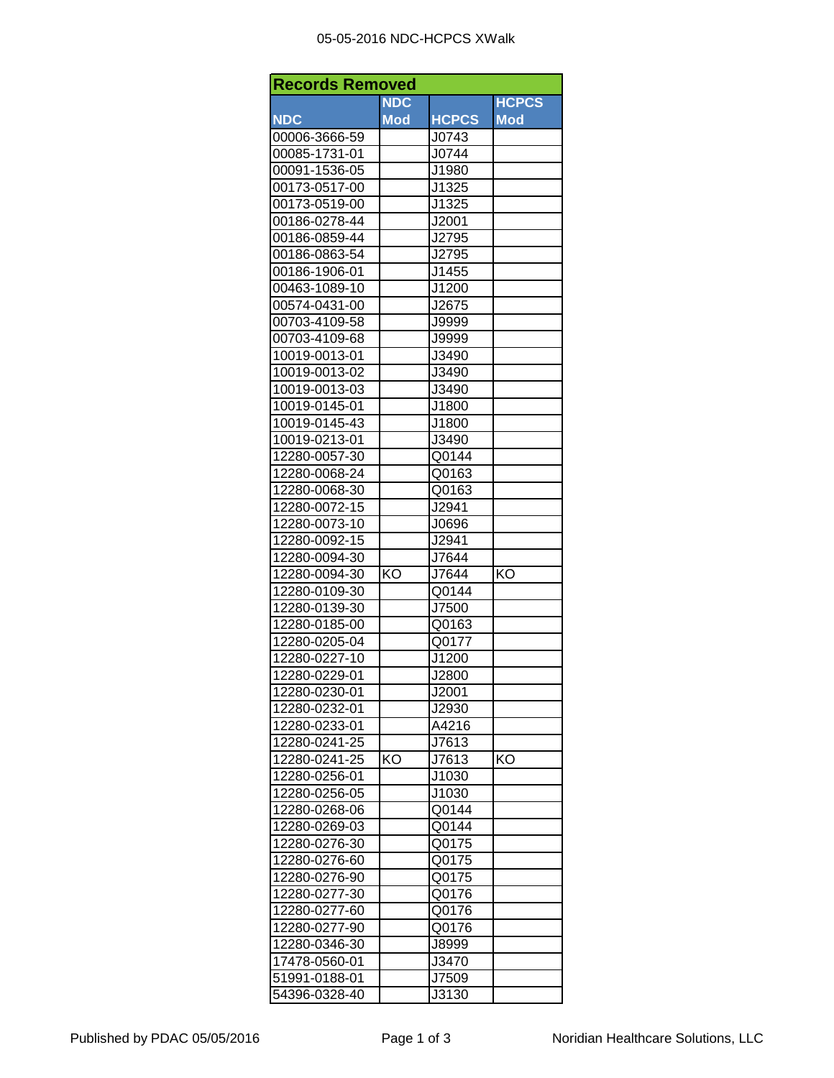## 05-05-2016 NDC-HCPCS XWalk

| <b>Records Removed</b> |            |              |              |  |  |
|------------------------|------------|--------------|--------------|--|--|
|                        | <b>NDC</b> |              | <b>HCPCS</b> |  |  |
| <b>NDC</b>             | <b>Mod</b> | <b>HCPCS</b> | <b>Mod</b>   |  |  |
| 00006-3666-59          |            | J0743        |              |  |  |
| 00085-1731-01          |            | J0744        |              |  |  |
| 00091-1536-05          |            | J1980        |              |  |  |
| 00173-0517-00          |            | J1325        |              |  |  |
| 00173-0519-00          |            | J1325        |              |  |  |
| 00186-0278-44          |            | J2001        |              |  |  |
| 00186-0859-44          |            | J2795        |              |  |  |
| 00186-0863-54          |            | J2795        |              |  |  |
| 00186-1906-01          |            | J1455        |              |  |  |
| 00463-1089-10          |            | J1200        |              |  |  |
| 00574-0431-00          |            | J2675        |              |  |  |
| 00703-4109-58          |            | J9999        |              |  |  |
| 00703-4109-68          |            | J9999        |              |  |  |
| 10019-0013-01          |            | J3490        |              |  |  |
| 10019-0013-02          |            | J3490        |              |  |  |
| 10019-0013-03          |            | J3490        |              |  |  |
| 10019-0145-01          |            | J1800        |              |  |  |
| 10019-0145-43          |            | J1800        |              |  |  |
| 10019-0213-01          |            | J3490        |              |  |  |
| 12280-0057-30          |            | Q0144        |              |  |  |
| 12280-0068-24          |            | Q0163        |              |  |  |
| 12280-0068-30          |            | Q0163        |              |  |  |
| 12280-0072-15          |            | J2941        |              |  |  |
| 12280-0073-10          |            | J0696        |              |  |  |
| 12280-0092-15          |            | J2941        |              |  |  |
| 12280-0094-30          |            | J7644        |              |  |  |
| 12280-0094-30          | ΚO         | J7644        | KO           |  |  |
| 12280-0109-30          |            | Q0144        |              |  |  |
| 12280-0139-30          |            | J7500        |              |  |  |
| 12280-0185-00          |            | Q0163        |              |  |  |
| 12280-0205-04          |            | Q0177        |              |  |  |
| 12280-0227-10          |            | J1200        |              |  |  |
| 12280-0229-01          |            | J2800        |              |  |  |
| 12280-0230-01          |            | J2001        |              |  |  |
| 12280-0232-01          |            | J2930        |              |  |  |
| 12280-0233-01          |            | A4216        |              |  |  |
| 12280-0241-25          |            | J7613        |              |  |  |
| 12280-0241-25          | KO         | J7613        | KO           |  |  |
|                        |            |              |              |  |  |
| 12280-0256-01          |            | J1030        |              |  |  |
| 12280-0256-05          |            | J1030        |              |  |  |
| 12280-0268-06          |            | Q0144        |              |  |  |
| 12280-0269-03          |            | Q0144        |              |  |  |
| 12280-0276-30          |            | Q0175        |              |  |  |
| 12280-0276-60          |            | Q0175        |              |  |  |
| 12280-0276-90          |            | Q0175        |              |  |  |
| 12280-0277-30          |            | Q0176        |              |  |  |
| 12280-0277-60          |            | Q0176        |              |  |  |
| 12280-0277-90          |            | Q0176        |              |  |  |
| 12280-0346-30          |            | J8999        |              |  |  |
| 17478-0560-01          |            | J3470        |              |  |  |
| 51991-0188-01          |            | J7509        |              |  |  |
| 54396-0328-40          |            | J3130        |              |  |  |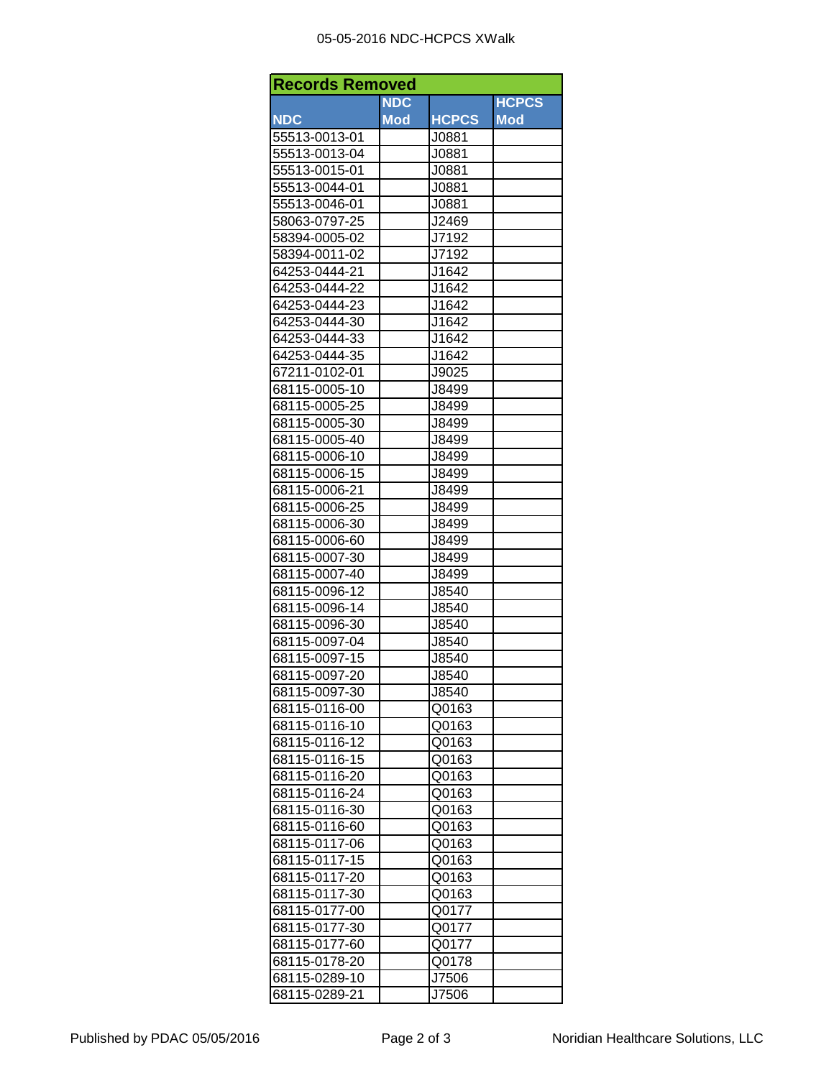## 05-05-2016 NDC-HCPCS XWalk

| <b>Records Removed</b> |            |              |              |  |  |
|------------------------|------------|--------------|--------------|--|--|
|                        | <b>NDC</b> |              | <b>HCPCS</b> |  |  |
| <b>NDC</b>             | <b>Mod</b> | <b>HCPCS</b> | <b>Mod</b>   |  |  |
| 55513-0013-01          |            | J0881        |              |  |  |
| 55513-0013-04          |            | J0881        |              |  |  |
| 55513-0015-01          |            | J0881        |              |  |  |
| 55513-0044-01          |            | J0881        |              |  |  |
| 55513-0046-01          |            | J0881        |              |  |  |
| 58063-0797-25          |            | J2469        |              |  |  |
| 58394-0005-02          |            | J7192        |              |  |  |
| 58394-0011-02          |            | J7192        |              |  |  |
| 64253-0444-21          |            | J1642        |              |  |  |
| 64253-0444-22          |            | J1642        |              |  |  |
| 64253-0444-23          |            | J1642        |              |  |  |
| 64253-0444-30          |            | J1642        |              |  |  |
| 64253-0444-33          |            | J1642        |              |  |  |
| 64253-0444-35          |            | J1642        |              |  |  |
| 67211-0102-01          |            | J9025        |              |  |  |
| 68115-0005-10          |            | J8499        |              |  |  |
| 68115-0005-25          |            | J8499        |              |  |  |
| 68115-0005-30          |            | J8499        |              |  |  |
| 68115-0005-40          |            | J8499        |              |  |  |
| 68115-0006-10          |            | J8499        |              |  |  |
| 68115-0006-15          |            | J8499        |              |  |  |
| 68115-0006-21          |            | J8499        |              |  |  |
| 68115-0006-25          |            | J8499        |              |  |  |
| 68115-0006-30          |            | J8499        |              |  |  |
| 68115-0006-60          |            | J8499        |              |  |  |
| 68115-0007-30          |            | J8499        |              |  |  |
| 68115-0007-40          |            | J8499        |              |  |  |
| 68115-0096-12          |            | J8540        |              |  |  |
| 68115-0096-14          |            | J8540        |              |  |  |
| 68115-0096-30          |            | J8540        |              |  |  |
| 68115-0097-04          |            | J8540        |              |  |  |
| 68115-0097-15          |            | J8540        |              |  |  |
| 68115-0097-20          |            | J8540        |              |  |  |
| 68115-0097-30          |            | J8540        |              |  |  |
| 68115-0116-00          |            | Q0163        |              |  |  |
| 68115-0116-10          |            | Q0163        |              |  |  |
| 68115-0116-12          |            | Q0163        |              |  |  |
| 68115-0116-15          |            | Q0163        |              |  |  |
| 68115-0116-20          |            | Q0163        |              |  |  |
| 68115-0116-24          |            | Q0163        |              |  |  |
| 68115-0116-30          |            | Q0163        |              |  |  |
| 68115-0116-60          |            | Q0163        |              |  |  |
| 68115-0117-06          |            | Q0163        |              |  |  |
| 68115-0117-15          |            | Q0163        |              |  |  |
| 68115-0117-20          |            | Q0163        |              |  |  |
| 68115-0117-30          |            | Q0163        |              |  |  |
| 68115-0177-00          |            | Q0177        |              |  |  |
| 68115-0177-30          |            | Q0177        |              |  |  |
| 68115-0177-60          |            | Q0177        |              |  |  |
| 68115-0178-20          |            | Q0178        |              |  |  |
| 68115-0289-10          |            | J7506        |              |  |  |
| 68115-0289-21          |            | J7506        |              |  |  |